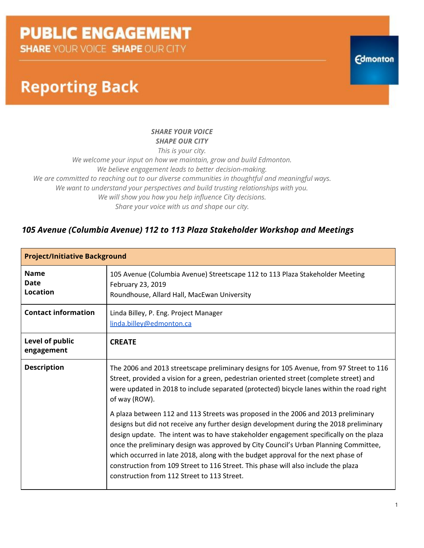**SHARE YOUR VOICE SHAPE OUR CITY** 

### **Reporting Back**

#### *SHARE YOUR VOICE SHAPE OUR CITY*

*This is your city.*

*We welcome your input on how we maintain, grow and build Edmonton. We believe engagement leads to better decision-making. We are committed to reaching out to our diverse communities in thoughtful and meaningful ways. We want to understand your perspectives and build trusting relationships with you. We will show you how you help influence City decisions. Share your voice with us and shape our city.*

#### *105 Avenue (Columbia Avenue) 112 to 113 Plaza Stakeholder Workshop and Meetings*

| <b>Project/Initiative Background</b>          |                                                                                                                                                                                                                                                                                                                                                                                                                                                                                                                                                                                         |  |  |  |  |  |
|-----------------------------------------------|-----------------------------------------------------------------------------------------------------------------------------------------------------------------------------------------------------------------------------------------------------------------------------------------------------------------------------------------------------------------------------------------------------------------------------------------------------------------------------------------------------------------------------------------------------------------------------------------|--|--|--|--|--|
| <b>Name</b><br><b>Date</b><br><b>Location</b> | 105 Avenue (Columbia Avenue) Streetscape 112 to 113 Plaza Stakeholder Meeting<br>February 23, 2019<br>Roundhouse, Allard Hall, MacEwan University                                                                                                                                                                                                                                                                                                                                                                                                                                       |  |  |  |  |  |
| <b>Contact information</b>                    | Linda Billey, P. Eng. Project Manager<br>linda.billey@edmonton.ca                                                                                                                                                                                                                                                                                                                                                                                                                                                                                                                       |  |  |  |  |  |
| Level of public<br>engagement                 | <b>CREATE</b>                                                                                                                                                                                                                                                                                                                                                                                                                                                                                                                                                                           |  |  |  |  |  |
| <b>Description</b>                            | The 2006 and 2013 streetscape preliminary designs for 105 Avenue, from 97 Street to 116<br>Street, provided a vision for a green, pedestrian oriented street (complete street) and<br>were updated in 2018 to include separated (protected) bicycle lanes within the road right<br>of way (ROW).                                                                                                                                                                                                                                                                                        |  |  |  |  |  |
|                                               | A plaza between 112 and 113 Streets was proposed in the 2006 and 2013 preliminary<br>designs but did not receive any further design development during the 2018 preliminary<br>design update. The intent was to have stakeholder engagement specifically on the plaza<br>once the preliminary design was approved by City Council's Urban Planning Committee,<br>which occurred in late 2018, along with the budget approval for the next phase of<br>construction from 109 Street to 116 Street. This phase will also include the plaza<br>construction from 112 Street to 113 Street. |  |  |  |  |  |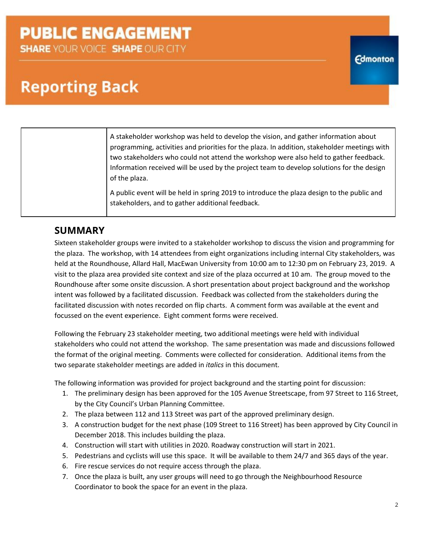**SHARE YOUR VOICE SHAPE OUR CITY** 

### **Reporting Back**

| A stakeholder workshop was held to develop the vision, and gather information about          |
|----------------------------------------------------------------------------------------------|
| programming, activities and priorities for the plaza. In addition, stakeholder meetings with |
| two stakeholders who could not attend the workshop were also held to gather feedback.        |
| Information received will be used by the project team to develop solutions for the design    |
| of the plaza.                                                                                |
| A public event will be held in spring 2019 to introduce the plaza design to the public and   |

stakeholders, and to gather additional feedback.

#### **SUMMARY**

Sixteen stakeholder groups were invited to a stakeholder workshop to discuss the vision and programming for the plaza. The workshop, with 14 attendees from eight organizations including internal City stakeholders, was held at the Roundhouse, Allard Hall, MacEwan University from 10:00 am to 12:30 pm on February 23, 2019. A visit to the plaza area provided site context and size of the plaza occurred at 10 am. The group moved to the Roundhouse after some onsite discussion. A short presentation about project background and the workshop intent was followed by a facilitated discussion. Feedback was collected from the stakeholders during the facilitated discussion with notes recorded on flip charts. A comment form was available at the event and focussed on the event experience. Eight comment forms were received.

Following the February 23 stakeholder meeting, two additional meetings were held with individual stakeholders who could not attend the workshop. The same presentation was made and discussions followed the format of the original meeting. Comments were collected for consideration. Additional items from the two separate stakeholder meetings are added in *italics* in this document.

The following information was provided for project background and the starting point for discussion:

- 1. The preliminary design has been approved for the 105 Avenue Streetscape, from 97 Street to 116 Street, by the City Council's Urban Planning Committee.
- 2. The plaza between 112 and 113 Street was part of the approved preliminary design.
- 3. A construction budget for the next phase (109 Street to 116 Street) has been approved by City Council in December 2018. This includes building the plaza.
- 4. Construction will start with utilities in 2020. Roadway construction will start in 2021.
- 5. Pedestrians and cyclists will use this space. It will be available to them 24/7 and 365 days of the year.
- 6. Fire rescue services do not require access through the plaza.
- 7. Once the plaza is built, any user groups will need to go through the Neighbourhood Resource Coordinator to book the space for an event in the plaza.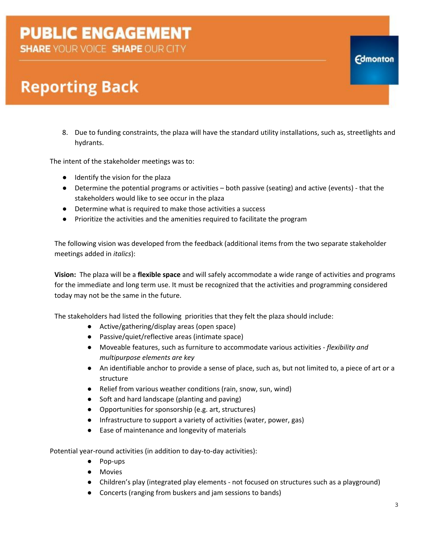**SHARE YOUR VOICE SHAPE OUR CITY** 

### **Reporting Back**

8. Due to funding constraints, the plaza will have the standard utility installations, such as, streetlights and hydrants.

The intent of the stakeholder meetings was to:

- Identify the vision for the plaza
- Determine the potential programs or activities both passive (seating) and active (events) that the stakeholders would like to see occur in the plaza
- Determine what is required to make those activities a success
- Prioritize the activities and the amenities required to facilitate the program

The following vision was developed from the feedback (additional items from the two separate stakeholder meetings added in *italics*):

**Vision:** The plaza will be a **flexible space** and will safely accommodate a wide range of activities and programs for the immediate and long term use. It must be recognized that the activities and programming considered today may not be the same in the future.

The stakeholders had listed the following priorities that they felt the plaza should include:

- Active/gathering/display areas (open space)
- Passive/quiet/reflective areas (intimate space)
- Moveable features, such as furniture to accommodate various activities *flexibility and multipurpose elements are key*
- An identifiable anchor to provide a sense of place, such as, but not limited to, a piece of art or a structure
- Relief from various weather conditions (rain, snow, sun, wind)
- Soft and hard landscape (planting and paving)
- Opportunities for sponsorship (e.g. art, structures)
- Infrastructure to support a variety of activities (water, power, gas)
- Ease of maintenance and longevity of materials

Potential year-round activities (in addition to day-to-day activities):

- Pop-ups
- Movies
- Children's play (integrated play elements not focused on structures such as a playground)
- Concerts (ranging from buskers and jam sessions to bands)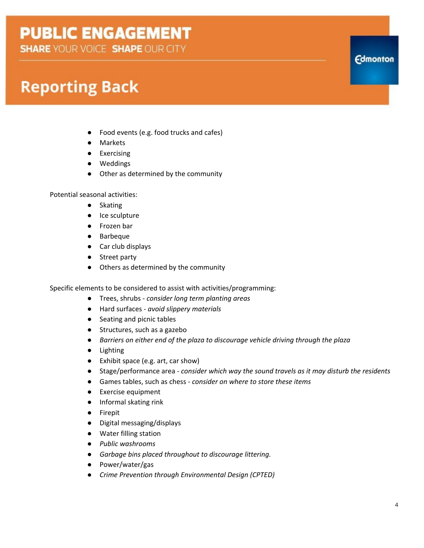**SHARE YOUR VOICE SHAPE OUR CITY** 

### **Reporting Back**

- Food events (e.g. food trucks and cafes)
- Markets
- Exercising
- Weddings
- Other as determined by the community

Potential seasonal activities:

- Skating
- Ice sculpture
- Frozen bar
- Barbeque
- Car club displays
- Street party
- Others as determined by the community

Specific elements to be considered to assist with activities/programming:

- Trees, shrubs *- consider long term planting areas*
- Hard surfaces *- avoid slippery materials*
- Seating and picnic tables
- Structures, such as a gazebo
- *Barriers on either end of the plaza to discourage vehicle driving through the plaza*
- Lighting
- Exhibit space (e.g. art, car show)
- Stage/performance area *- consider which way the sound travels as it may disturb the residents*
- Games tables, such as chess *- consider on where to store these items*
- Exercise equipment
- Informal skating rink
- Firepit
- Digital messaging/displays
- Water filling station
- *● Public washrooms*
- *● Garbage bins placed throughout to discourage littering.*
- Power/water/gas
- *● Crime Prevention through Environmental Design (CPTED)*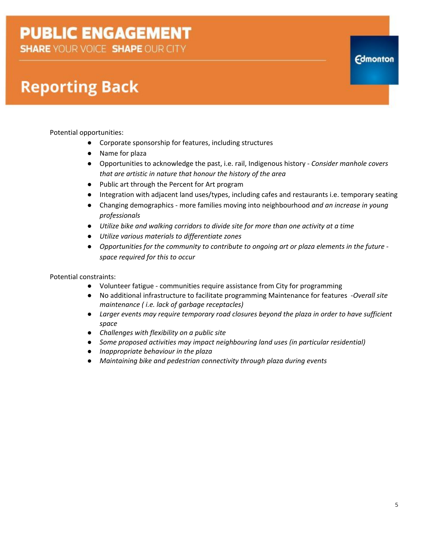**SHARE YOUR VOICE SHAPE OUR CITY** 

## **Reporting Back**

Potential opportunities:

- Corporate sponsorship for features, including structures
- Name for plaza
- Opportunities to acknowledge the past, i.e. rail, Indigenous history *Consider manhole covers that are artistic in nature that honour the history of the area*
- Public art through the Percent for Art program
- Integration with adjacent land uses/types, including cafes and restaurants i.e. temporary seating
- Changing demographics more families moving into neighbourhood *and an increase in young professionals*
- *● Utilize bike and walking corridors to divide site for more than one activity at a time*
- *● Utilize various materials to differentiate zones*
- *● Opportunities for the community to contribute to ongoing art or plaza elements in the future space required for this to occur*

Potential constraints:

- Volunteer fatigue communities require assistance from City for programming
- No additional infrastructure to facilitate programming Maintenance for features -*Overall site maintenance ( i.e. lack of garbage receptacles)*
- *● Larger events may require temporary road closures beyond the plaza in order to have sufficient space*
- *● Challenges with flexibility on a public site*
- *● Some proposed activities may impact neighbouring land uses (in particular residential)*
- *● Inappropriate behaviour in the plaza*
- *● Maintaining bike and pedestrian connectivity through plaza during events*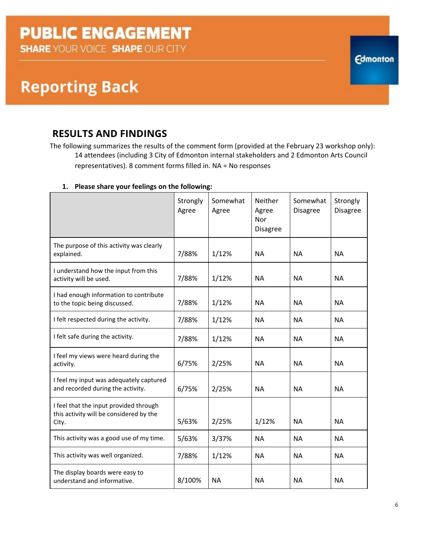### **Reporting Back**

### **RESULTS AND FINDINGS**

The following summarizes the results of the comment form (provided at the February 23 workshop only): 14 attendees (including 3 City of Edmonton internal stakeholders and 2 Edmonton Arts Council representatives). 8 comment forms filled in. NA = No responses

|                                                                                            | Strongly<br>Agree | Somewhat<br>Agree | Neither<br>Agree<br>Nor<br><b>Disagree</b> | Somewhat<br><b>Disagree</b> | Strongly<br><b>Disagree</b> |
|--------------------------------------------------------------------------------------------|-------------------|-------------------|--------------------------------------------|-----------------------------|-----------------------------|
| The purpose of this activity was clearly<br>explained.                                     | 7/88%             | 1/12%             | <b>NA</b>                                  | <b>NA</b>                   | <b>NA</b>                   |
| I understand how the input from this<br>activity will be used.                             | 7/88%             | 1/12%             | <b>NA</b>                                  | <b>NA</b>                   | <b>NA</b>                   |
| I had enough information to contribute<br>to the topic being discussed.                    | 7/88%             | 1/12%             | <b>NA</b>                                  | <b>NA</b>                   | <b>NA</b>                   |
| I felt respected during the activity.                                                      | 7/88%             | 1/12%             | <b>NA</b>                                  | <b>NA</b>                   | <b>NA</b>                   |
| I felt safe during the activity.                                                           | 7/88%             | 1/12%             | <b>NA</b>                                  | <b>NA</b>                   | <b>NA</b>                   |
| I feel my views were heard during the<br>activity.                                         | 6/75%             | 2/25%             | <b>NA</b>                                  | <b>NA</b>                   | <b>NA</b>                   |
| I feel my input was adequately captured<br>and recorded during the activity.               | 6/75%             | 2/25%             | <b>NA</b>                                  | <b>NA</b>                   | <b>NA</b>                   |
| I feel that the input provided through<br>this activity will be considered by the<br>City. | 5/63%             | 2/25%             | 1/12%                                      | <b>NA</b>                   | <b>NA</b>                   |
| This activity was a good use of my time.                                                   | 5/63%             | 3/37%             | <b>NA</b>                                  | <b>NA</b>                   | <b>NA</b>                   |
| This activity was well organized.                                                          | 7/88%             | 1/12%             | <b>NA</b>                                  | <b>NA</b>                   | <b>NA</b>                   |
| The display boards were easy to<br>understand and informative.                             | 8/100%            | <b>NA</b>         | <b>NA</b>                                  | <b>NA</b>                   | <b>NA</b>                   |

#### **1. Please share your feelings on the following:**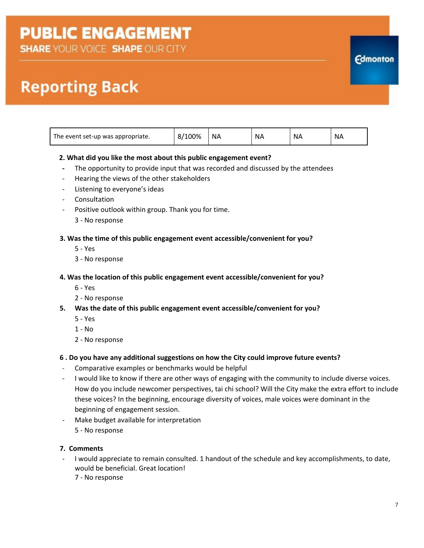**SHARE YOUR VOICE SHAPE OUR CITY** 

## **Reporting Back**

| The event set-up was appropriate. | 100%<br>8/1 | ΝA | <b>NA</b> | <b>NA</b> | NΑ |
|-----------------------------------|-------------|----|-----------|-----------|----|
|                                   |             |    |           |           |    |

#### **2. What did you like the most about this public engagement event?**

- **-** The opportunity to provide input that was recorded and discussed by the attendees
- Hearing the views of the other stakeholders
- Listening to everyone's ideas
- Consultation
- Positive outlook within group. Thank you for time.
	- 3 No response

#### **3. Was the time of this public engagement event accessible/convenient for you?**

- 5 Yes
- 3 No response

#### **4. Was the location of this public engagement event accessible/convenient for you?**

- 6 Yes
- 2 No response
- **5. Was the date of this public engagement event accessible/convenient for you?**
	- 5 Yes
	- $1 No$
	- 2 No response

#### **6 . Do you have any additional suggestions on how the City could improve future events?**

- Comparative examples or benchmarks would be helpful
- I would like to know if there are other ways of engaging with the community to include diverse voices. How do you include newcomer perspectives, tai chi school? Will the City make the extra effort to include these voices? In the beginning, encourage diversity of voices, male voices were dominant in the beginning of engagement session.
- Make budget available for interpretation 5 - No response

#### **7. Comments**

- I would appreciate to remain consulted. 1 handout of the schedule and key accomplishments, to date, would be beneficial. Great location!
	- 7 No response